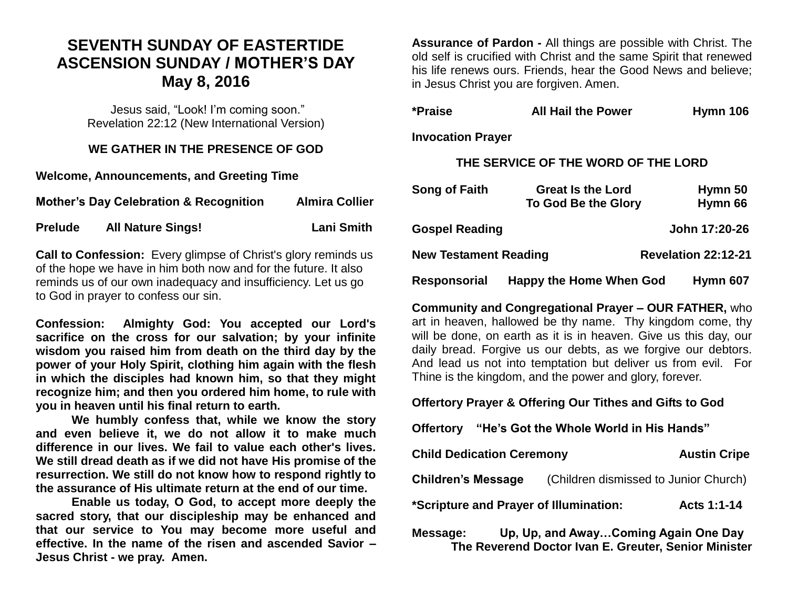## **SEVENTH SUNDAY OF EASTERTIDE ASCENSION SUNDAY / MOTHER'S DAY May 8, 2016**

Jesus said, "Look! I'm coming soon." Revelation 22:12 (New International Version)

#### **WE GATHER IN THE PRESENCE OF GOD**

**Welcome, Announcements, and Greeting Time** 

**Mother's Day Celebration & Recognition Almira Collier** 

**Prelude All Nature Sings! Lani Smith** 

**Call to Confession:** Every glimpse of Christ's glory reminds us of the hope we have in him both now and for the future. It also reminds us of our own inadequacy and insufficiency. Let us go to God in prayer to confess our sin.

**Confession: Almighty God: You accepted our Lord's sacrifice on the cross for our salvation; by your infinite wisdom you raised him from death on the third day by the power of your Holy Spirit, clothing him again with the flesh in which the disciples had known him, so that they might recognize him; and then you ordered him home, to rule with you in heaven until his final return to earth.**

**We humbly confess that, while we know the story and even believe it, we do not allow it to make much difference in our lives. We fail to value each other's lives. We still dread death as if we did not have His promise of the resurrection. We still do not know how to respond rightly to the assurance of His ultimate return at the end of our time.**

**Enable us today, O God, to accept more deeply the sacred story, that our discipleship may be enhanced and that our service to You may become more useful and effective. In the name of the risen and ascended Savior – Jesus Christ - we pray. Amen.**

**Assurance of Pardon -** All things are possible with Christ. The old self is crucified with Christ and the same Spirit that renewed his life renews ours. Friends, hear the Good News and believe; in Jesus Christ you are forgiven. Amen.

| *Praise                             | <b>All Hail the Power</b>                       | <b>Hymn 106</b>            |  |  |
|-------------------------------------|-------------------------------------------------|----------------------------|--|--|
| <b>Invocation Prayer</b>            |                                                 |                            |  |  |
| THE SERVICE OF THE WORD OF THE LORD |                                                 |                            |  |  |
| Song of Faith                       | <b>Great Is the Lord</b><br>To God Be the Glory | Hymn 50<br>Hymn 66         |  |  |
| <b>Gospel Reading</b>               |                                                 | John 17:20-26              |  |  |
| <b>New Testament Reading</b>        |                                                 | <b>Revelation 22:12-21</b> |  |  |

**Responsorial Happy the Home When God Hymn 607** 

**Community and Congregational Prayer – OUR FATHER,** who art in heaven, hallowed be thy name. Thy kingdom come, thy will be done, on earth as it is in heaven. Give us this day, our daily bread. Forgive us our debts, as we forgive our debtors. And lead us not into temptation but deliver us from evil. For Thine is the kingdom, and the power and glory, forever.

**Offertory Prayer & Offering Our Tithes and Gifts to God**

**Offertory "He's Got the Whole World in His Hands"**

| <b>Child Dedication Ceremony</b>       |                                       | <b>Austin Cripe</b> |
|----------------------------------------|---------------------------------------|---------------------|
| <b>Children's Message</b>              | (Children dismissed to Junior Church) |                     |
| *Scripture and Prayer of Illumination: |                                       | Acts 1:1-14         |

**Message: Up, Up, and Away…Coming Again One Day The Reverend Doctor Ivan E. Greuter, Senior Minister**